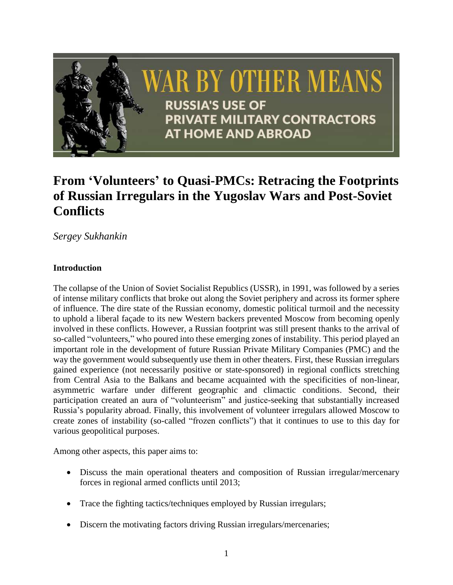

# **From 'Volunteers' to Quasi-PMCs: Retracing the Footprints of Russian Irregulars in the Yugoslav Wars and Post-Soviet Conflicts**

*Sergey Sukhankin*

## **Introduction**

The collapse of the Union of Soviet Socialist Republics (USSR), in 1991, was followed by a series of intense military conflicts that broke out along the Soviet periphery and across its former sphere of influence. The dire state of the Russian economy, domestic political turmoil and the necessity to uphold a liberal façade to its new Western backers prevented Moscow from becoming openly involved in these conflicts. However, a Russian footprint was still present thanks to the arrival of so-called "volunteers," who poured into these emerging zones of instability. This period played an important role in the development of future Russian Private Military Companies (PMC) and the way the government would subsequently use them in other theaters. First, these Russian irregulars gained experience (not necessarily positive or state-sponsored) in regional conflicts stretching from Central Asia to the Balkans and became acquainted with the specificities of non-linear, asymmetric warfare under different geographic and climactic conditions. Second, their participation created an aura of "volunteerism" and justice-seeking that substantially increased Russia's popularity abroad. Finally, this involvement of volunteer irregulars allowed Moscow to create zones of instability (so-called "frozen conflicts") that it continues to use to this day for various geopolitical purposes.

Among other aspects, this paper aims to:

- Discuss the main operational theaters and composition of Russian irregular/mercenary forces in regional armed conflicts until 2013;
- Trace the fighting tactics/techniques employed by Russian irregulars;
- Discern the motivating factors driving Russian irregulars/mercenaries;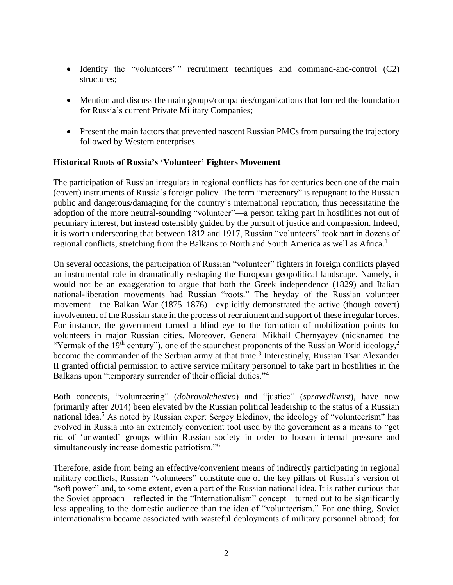- Identify the "volunteers' " recruitment techniques and command-and-control (C2) structures;
- Mention and discuss the main groups/companies/organizations that formed the foundation for Russia's current Private Military Companies;
- Present the main factors that prevented nascent Russian PMCs from pursuing the trajectory followed by Western enterprises.

#### **Historical Roots of Russia's 'Volunteer' Fighters Movement**

The participation of Russian irregulars in regional conflicts has for centuries been one of the main (covert) instruments of Russia's foreign policy. The term "mercenary" is repugnant to the Russian public and dangerous/damaging for the country's international reputation, thus necessitating the adoption of the more neutral-sounding "volunteer"—a person taking part in hostilities not out of pecuniary interest, but instead ostensibly guided by the pursuit of justice and compassion. Indeed, it is worth underscoring that between 1812 and 1917, Russian "volunteers" took part in dozens of regional conflicts, stretching from the Balkans to North and South America as well as Africa.<sup>1</sup>

On several occasions, the participation of Russian "volunteer" fighters in foreign conflicts played an instrumental role in dramatically reshaping the European geopolitical landscape. Namely, it would not be an exaggeration to argue that both the Greek independence (1829) and Italian national-liberation movements had Russian "roots." The heyday of the Russian volunteer movement—the Balkan War (1875–1876)—explicitly demonstrated the active (though covert) involvement of the Russian state in the process of recruitment and support of these irregular forces. For instance, the government turned a blind eye to the formation of mobilization points for volunteers in major Russian cities. Moreover, General Mikhail Chernyayev (nicknamed the "Yermak of the 19<sup>th</sup> century"), one of the staunchest proponents of the Russian World ideology,<sup>2</sup> become the commander of the Serbian army at that time.<sup>3</sup> Interestingly, Russian Tsar Alexander II granted official permission to active service military personnel to take part in hostilities in the Balkans upon "temporary surrender of their official duties."<sup>4</sup>

Both concepts, "volunteering" (*dobrovolchestvo*) and "justice" (*spravedlivost*), have now (primarily after 2014) been elevated by the Russian political leadership to the status of a Russian national idea.<sup>5</sup> As noted by Russian expert Sergey Eledinov, the ideology of "volunteerism" has evolved in Russia into an extremely convenient tool used by the government as a means to "get rid of 'unwanted' groups within Russian society in order to loosen internal pressure and simultaneously increase domestic patriotism."<sup>6</sup>

Therefore, aside from being an effective/convenient means of indirectly participating in regional military conflicts, Russian "volunteers" constitute one of the key pillars of Russia's version of "soft power" and, to some extent, even a part of the Russian national idea. It is rather curious that the Soviet approach—reflected in the "Internationalism" concept—turned out to be significantly less appealing to the domestic audience than the idea of "volunteerism." For one thing, Soviet internationalism became associated with wasteful deployments of military personnel abroad; for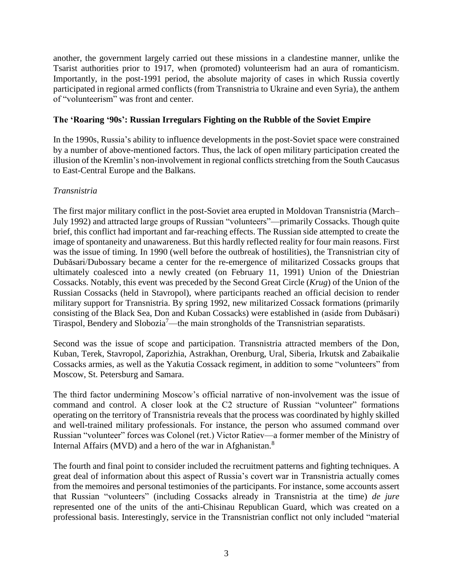another, the government largely carried out these missions in a clandestine manner, unlike the Tsarist authorities prior to 1917, when (promoted) volunteerism had an aura of romanticism. Importantly, in the post-1991 period, the absolute majority of cases in which Russia covertly participated in regional armed conflicts (from Transnistria to Ukraine and even Syria), the anthem of "volunteerism" was front and center.

### **The 'Roaring '90s': Russian Irregulars Fighting on the Rubble of the Soviet Empire**

In the 1990s, Russia's ability to influence developments in the post-Soviet space were constrained by a number of above-mentioned factors. Thus, the lack of open military participation created the illusion of the Kremlin's non-involvement in regional conflicts stretching from the South Caucasus to East-Central Europe and the Balkans.

#### *Transnistria*

The first major military conflict in the post-Soviet area erupted in Moldovan Transnistria (March– July 1992) and attracted large groups of Russian "volunteers"—primarily Cossacks. Though quite brief, this conflict had important and far-reaching effects. The Russian side attempted to create the image of spontaneity and unawareness. But this hardly reflected reality for four main reasons. First was the issue of timing. In 1990 (well before the outbreak of hostilities), the Transnistrian city of Dubăsari/Dubossary became a center for the re-emergence of militarized Cossacks groups that ultimately coalesced into a newly created (on February 11, 1991) Union of the Dniestrian Cossacks. Notably, this event was preceded by the Second Great Circle (*Krug*) of the Union of the Russian Cossacks (held in Stavropol), where participants reached an official decision to render military support for Transnistria. By spring 1992, new militarized Cossack formations (primarily consisting of the Black Sea, Don and Kuban Cossacks) were established in (aside from Dubăsari) Tiraspol, Bendery and Slobozia<sup>7</sup>—the main strongholds of the Transnistrian separatists.

Second was the issue of scope and participation. Transnistria attracted members of the Don, Kuban, Terek, Stavropol, Zaporizhia, Astrakhan, Orenburg, Ural, Siberia, Irkutsk and Zabaikalie Cossacks armies, as well as the Yakutia Cossack regiment, in addition to some "volunteers" from Moscow, St. Petersburg and Samara.

The third factor undermining Moscow's official narrative of non-involvement was the issue of command and control. A closer look at the C2 structure of Russian "volunteer" formations operating on the territory of Transnistria reveals that the process was coordinated by highly skilled and well-trained military professionals. For instance, the person who assumed command over Russian "volunteer" forces was Colonel (ret.) Victor Ratiev—a former member of the Ministry of Internal Affairs (MVD) and a hero of the war in Afghanistan.<sup>8</sup>

The fourth and final point to consider included the recruitment patterns and fighting techniques. A great deal of information about this aspect of Russia's covert war in Transnistria actually comes from the memoires and personal testimonies of the participants. For instance, some accounts assert that Russian "volunteers" (including Cossacks already in Transnistria at the time) *de jure* represented one of the units of the anti-Chisinau Republican Guard, which was created on a professional basis. Interestingly, service in the Transnistrian conflict not only included "material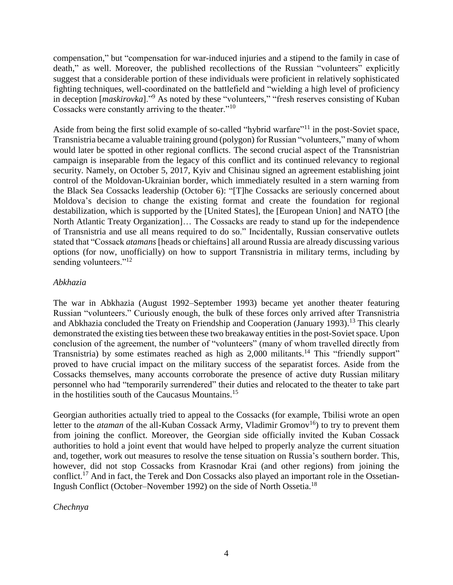compensation," but "compensation for war-induced injuries and a stipend to the family in case of death," as well. Moreover, the published recollections of the Russian "volunteers" explicitly suggest that a considerable portion of these individuals were proficient in relatively sophisticated fighting techniques, well-coordinated on the battlefield and "wielding a high level of proficiency in deception [*maskirovka*]."<sup>9</sup> As noted by these "volunteers," "fresh reserves consisting of Kuban Cossacks were constantly arriving to the theater."<sup>10</sup>

Aside from being the first solid example of so-called "hybrid warfare"<sup>11</sup> in the post-Soviet space, Transnistria became a valuable training ground (polygon) for Russian "volunteers," many of whom would later be spotted in other regional conflicts. The second crucial aspect of the Transnistrian campaign is inseparable from the legacy of this conflict and its continued relevancy to regional security. Namely, on October 5, 2017, Kyiv and Chisinau signed an agreement establishing joint control of the Moldovan-Ukrainian border, which immediately resulted in a stern warning from the Black Sea Cossacks leadership (October 6): "[T]he Cossacks are seriously concerned about Moldova's decision to change the existing format and create the foundation for regional destabilization, which is supported by the [United States], the [European Union] and NATO [the North Atlantic Treaty Organization]… The Cossacks are ready to stand up for the independence of Transnistria and use all means required to do so." Incidentally, Russian conservative outlets stated that "Cossack *atamans* [heads or chieftains] all around Russia are already discussing various options (for now, unofficially) on how to support Transnistria in military terms, including by sending volunteers."<sup>12</sup>

#### *Abkhazia*

The war in Abkhazia (August 1992–September 1993) became yet another theater featuring Russian "volunteers." Curiously enough, the bulk of these forces only arrived after Transnistria and Abkhazia concluded the Treaty on Friendship and Cooperation (January 1993).<sup>13</sup> This clearly demonstrated the existing ties between these two breakaway entities in the post-Soviet space. Upon conclusion of the agreement, the number of "volunteers" (many of whom travelled directly from Transnistria) by some estimates reached as high as 2,000 militants.<sup>14</sup> This "friendly support" proved to have crucial impact on the military success of the separatist forces. Aside from the Cossacks themselves, many accounts corroborate the presence of active duty Russian military personnel who had "temporarily surrendered" their duties and relocated to the theater to take part in the hostilities south of the Caucasus Mountains.<sup>15</sup>

Georgian authorities actually tried to appeal to the Cossacks (for example, Tbilisi wrote an open letter to the *ataman* of the all-Kuban Cossack Army, Vladimir Gromov<sup>16</sup>) to try to prevent them from joining the conflict. Moreover, the Georgian side officially invited the Kuban Cossack authorities to hold a joint event that would have helped to properly analyze the current situation and, together, work out measures to resolve the tense situation on Russia's southern border. This, however, did not stop Cossacks from Krasnodar Krai (and other regions) from joining the conflict.<sup>17</sup> And in fact, the Terek and Don Cossacks also played an important role in the Ossetian-Ingush Conflict (October–November 1992) on the side of North Ossetia.<sup>18</sup>

## *Chechnya*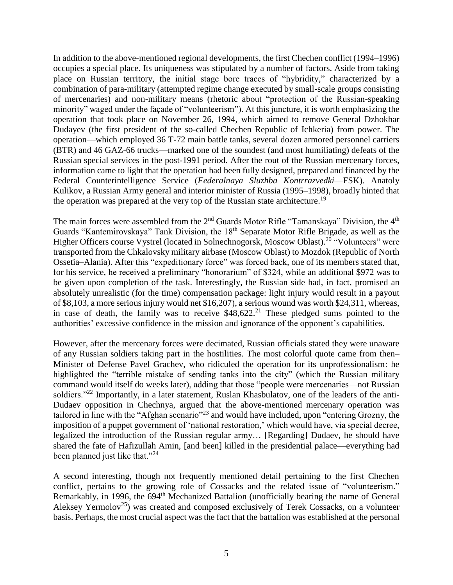In addition to the above-mentioned regional developments, the first Chechen conflict (1994–1996) occupies a special place. Its uniqueness was stipulated by a number of factors. Aside from taking place on Russian territory, the initial stage bore traces of "hybridity," characterized by a combination of para-military (attempted regime change executed by small-scale groups consisting of mercenaries) and non-military means (rhetoric about "protection of the Russian-speaking minority" waged under the façade of "volunteerism"). At this juncture, it is worth emphasizing the operation that took place on November 26, 1994, which aimed to remove General Dzhokhar Dudayev (the first president of the so-called Chechen Republic of Ichkeria) from power. The operation—which employed 36 T-72 main battle tanks, several dozen armored personnel carriers (BTR) and 46 GAZ-66 trucks—marked one of the soundest (and most humiliating) defeats of the Russian special services in the post-1991 period. After the rout of the Russian mercenary forces, information came to light that the operation had been fully designed, prepared and financed by the Federal Counterintelligence Service (*Federalnaya Sluzhba Kontrrazvedki*—FSK). Anatoly Kulikov, a Russian Army general and interior minister of Russia (1995–1998), broadly hinted that the operation was prepared at the very top of the Russian state architecture.<sup>19</sup>

The main forces were assembled from the 2<sup>nd</sup> Guards Motor Rifle "Tamanskaya" Division, the 4<sup>th</sup> Guards "Kantemirovskaya" Tank Division, the 18<sup>th</sup> Separate Motor Rifle Brigade, as well as the Higher Officers course Vystrel (located in Solnechnogorsk, Moscow Oblast).<sup>20</sup> "Volunteers" were transported from the Chkalovsky military airbase (Moscow Oblast) to Mozdok (Republic of North Ossetia–Alania). After this "expeditionary force" was forced back, one of its members stated that, for his service, he received a preliminary "honorarium" of \$324, while an additional \$972 was to be given upon completion of the task. Interestingly, the Russian side had, in fact, promised an absolutely unrealistic (for the time) compensation package: light injury would result in a payout of \$8,103, a more serious injury would net \$16,207), a serious wound was worth \$24,311, whereas, in case of death, the family was to receive  $$48,622<sup>21</sup>$  These pledged sums pointed to the authorities' excessive confidence in the mission and ignorance of the opponent's capabilities.

However, after the mercenary forces were decimated, Russian officials stated they were unaware of any Russian soldiers taking part in the hostilities. The most colorful quote came from then– Minister of Defense Pavel Grachev, who ridiculed the operation for its unprofessionalism: he highlighted the "terrible mistake of sending tanks into the city" (which the Russian military command would itself do weeks later), adding that those "people were mercenaries—not Russian soldiers."<sup>22</sup> Importantly, in a later statement, Ruslan Khasbulatov, one of the leaders of the anti-Dudaev opposition in Chechnya, argued that the above-mentioned mercenary operation was tailored in line with the "Afghan scenario"<sup>23</sup> and would have included, upon "entering Grozny, the imposition of a puppet government of 'national restoration,' which would have, via special decree, legalized the introduction of the Russian regular army… [Regarding] Dudaev, he should have shared the fate of Hafizullah Amin, [and been] killed in the presidential palace—everything had been planned just like that."<sup>24</sup>

A second interesting, though not frequently mentioned detail pertaining to the first Chechen conflict, pertains to the growing role of Cossacks and the related issue of "volunteerism." Remarkably, in 1996, the 694<sup>th</sup> Mechanized Battalion (unofficially bearing the name of General Aleksey Yermolov<sup>25</sup>) was created and composed exclusively of Terek Cossacks, on a volunteer basis. Perhaps, the most crucial aspect was the fact that the battalion was established at the personal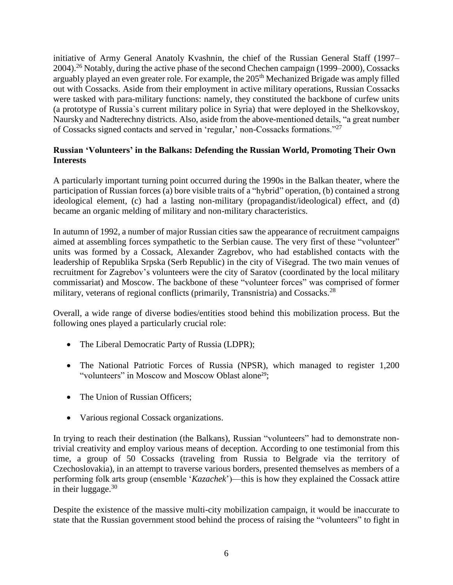initiative of Army General Anatoly Kvashnin, the chief of the Russian General Staff (1997– 2004).<sup>26</sup> Notably, during the active phase of the second Chechen campaign (1999–2000), Cossacks arguably played an even greater role. For example, the 205<sup>th</sup> Mechanized Brigade was amply filled out with Cossacks. Aside from their employment in active military operations, Russian Cossacks were tasked with para-military functions: namely, they constituted the backbone of curfew units (a prototype of Russia`s current military police in Syria) that were deployed in the Shelkovskoy, Naursky and Nadterechny districts. Also, aside from the above-mentioned details, "a great number of Cossacks signed contacts and served in 'regular,' non-Cossacks formations."<sup>27</sup>

## **Russian 'Volunteers' in the Balkans: Defending the Russian World, Promoting Their Own Interests**

A particularly important turning point occurred during the 1990s in the Balkan theater, where the participation of Russian forces (a) bore visible traits of a "hybrid" operation, (b) contained a strong ideological element, (c) had a lasting non-military (propagandist/ideological) effect, and (d) became an organic melding of military and non-military characteristics.

In autumn of 1992, a number of major Russian cities saw the appearance of recruitment campaigns aimed at assembling forces sympathetic to the Serbian cause. The very first of these "volunteer" units was formed by a Cossack, Alexander Zagrebov, who had established contacts with the leadership of Republika Srpska (Serb Republic) in the city of Višegrad. The two main venues of recruitment for Zagrebov's volunteers were the city of Saratov (coordinated by the local military commissariat) and Moscow. The backbone of these "volunteer forces" was comprised of former military, veterans of regional conflicts (primarily, Transnistria) and Cossacks.<sup>28</sup>

Overall, a wide range of diverse bodies/entities stood behind this mobilization process. But the following ones played a particularly crucial role:

- The Liberal Democratic Party of Russia (LDPR);
- The National Patriotic Forces of Russia (NPSR), which managed to register 1,200 "volunteers" in Moscow and Moscow Oblast alone<sup>29</sup>;
- The Union of Russian Officers;
- Various regional Cossack organizations.

In trying to reach their destination (the Balkans), Russian "volunteers" had to demonstrate nontrivial creativity and employ various means of deception. According to one testimonial from this time, a group of 50 Cossacks (traveling from Russia to Belgrade via the territory of Czechoslovakia), in an attempt to traverse various borders, presented themselves as members of a performing folk arts group (ensemble '*Kazachek*')—this is how they explained the Cossack attire in their luggage.  $30$ 

Despite the existence of the massive multi-city mobilization campaign, it would be inaccurate to state that the Russian government stood behind the process of raising the "volunteers" to fight in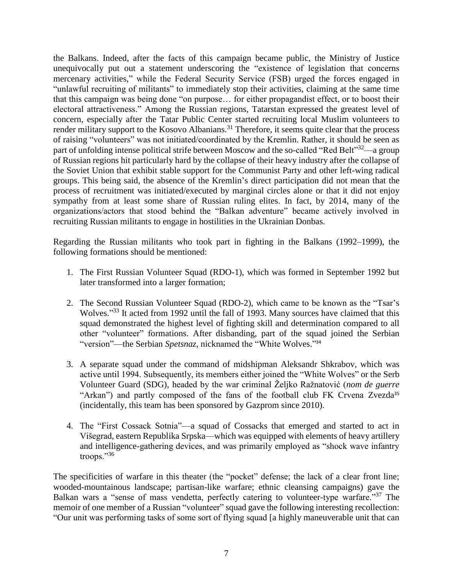the Balkans. Indeed, after the facts of this campaign became public, the Ministry of Justice unequivocally put out a statement underscoring the "existence of legislation that concerns mercenary activities," while the Federal Security Service (FSB) urged the forces engaged in "unlawful recruiting of militants" to immediately stop their activities, claiming at the same time that this campaign was being done "on purpose… for either propagandist effect, or to boost their electoral attractiveness." Among the Russian regions, Tatarstan expressed the greatest level of concern, especially after the Tatar Public Center started recruiting local Muslim volunteers to render military support to the Kosovo Albanians.<sup>31</sup> Therefore, it seems quite clear that the process of raising "volunteers" was not initiated/coordinated by the Kremlin. Rather, it should be seen as part of unfolding intense political strife between Moscow and the so-called "Red Belt"<sup>32</sup>—a group of Russian regions hit particularly hard by the collapse of their heavy industry after the collapse of the Soviet Union that exhibit stable support for the Communist Party and other left-wing radical groups. This being said, the absence of the Kremlin's direct participation did not mean that the process of recruitment was initiated/executed by marginal circles alone or that it did not enjoy sympathy from at least some share of Russian ruling elites. In fact, by 2014, many of the organizations/actors that stood behind the "Balkan adventure" became actively involved in recruiting Russian militants to engage in hostilities in the Ukrainian Donbas.

Regarding the Russian militants who took part in fighting in the Balkans (1992–1999), the following formations should be mentioned:

- 1. The First Russian Volunteer Squad (RDO-1), which was formed in September 1992 but later transformed into a larger formation;
- 2. The Second Russian Volunteer Squad (RDO-2), which came to be known as the "Tsar's Wolves."<sup>33</sup> It acted from 1992 until the fall of 1993. Many sources have claimed that this squad demonstrated the highest level of fighting skill and determination compared to all other "volunteer" formations. After disbanding, part of the squad joined the Serbian "version"—the Serbian *Spetsnaz*, nicknamed the "White Wolves." 34
- 3. A separate squad under the command of midshipman Aleksandr Shkrabov, which was active until 1994. Subsequently, its members either joined the "White Wolves" or the Serb Volunteer Guard (SDG), headed by the war criminal Željko Ražnatović (*nom de guerre* "Arkan") and partly composed of the fans of the football club FK Crvena Zvezda<sup>35</sup> (incidentally, this team has been sponsored by Gazprom since 2010).
- 4. The "First Cossack Sotnia"—a squad of Cossacks that emerged and started to act in Višegrad, eastern Republika Srpska—which was equipped with elements of heavy artillery and intelligence-gathering devices, and was primarily employed as "shock wave infantry troops."<sup>36</sup>

The specificities of warfare in this theater (the "pocket" defense; the lack of a clear front line; wooded-mountainous landscape; partisan-like warfare; ethnic cleansing campaigns) gave the Balkan wars a "sense of mass vendetta, perfectly catering to volunteer-type warfare."<sup>37</sup> The memoir of one member of a Russian "volunteer" squad gave the following interesting recollection: "Our unit was performing tasks of some sort of flying squad [a highly maneuverable unit that can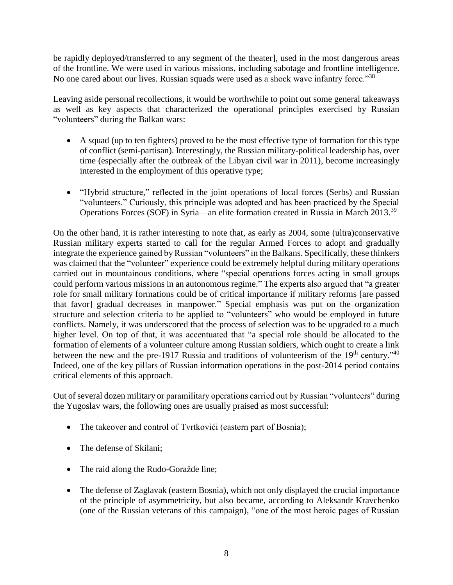be rapidly deployed/transferred to any segment of the theater], used in the most dangerous areas of the frontline. We were used in various missions, including sabotage and frontline intelligence. No one cared about our lives. Russian squads were used as a shock wave infantry force."<sup>38</sup>

Leaving aside personal recollections, it would be worthwhile to point out some general takeaways as well as key aspects that characterized the operational principles exercised by Russian "volunteers" during the Balkan wars:

- A squad (up to ten fighters) proved to be the most effective type of formation for this type of conflict (semi-partisan). Interestingly, the Russian military-political leadership has, over time (especially after the outbreak of the Libyan civil war in 2011), become increasingly interested in the employment of this operative type;
- "Hybrid structure," reflected in the joint operations of local forces (Serbs) and Russian "volunteers." Curiously, this principle was adopted and has been practiced by the Special Operations Forces (SOF) in Syria—an elite formation created in Russia in March 2013.<sup>39</sup>

On the other hand, it is rather interesting to note that, as early as 2004, some (ultra)conservative Russian military experts started to call for the regular Armed Forces to adopt and gradually integrate the experience gained by Russian "volunteers" in the Balkans. Specifically, these thinkers was claimed that the "volunteer" experience could be extremely helpful during military operations carried out in mountainous conditions, where "special operations forces acting in small groups could perform various missions in an autonomous regime." The experts also argued that "a greater role for small military formations could be of critical importance if military reforms [are passed that favor] gradual decreases in manpower." Special emphasis was put on the organization structure and selection criteria to be applied to "volunteers" who would be employed in future conflicts. Namely, it was underscored that the process of selection was to be upgraded to a much higher level. On top of that, it was accentuated that "a special role should be allocated to the formation of elements of a volunteer culture among Russian soldiers, which ought to create a link between the new and the pre-1917 Russia and traditions of volunteerism of the  $19<sup>th</sup>$  century."<sup>40</sup> Indeed, one of the key pillars of Russian information operations in the post-2014 period contains critical elements of this approach.

Out of several dozen military or paramilitary operations carried out by Russian "volunteers" during the Yugoslav wars, the following ones are usually praised as most successful:

- The takeover and control of Tvrtkovići (eastern part of Bosnia);
- The defense of Skilani:
- The raid along the Rudo-Goražde line;
- The defense of Zaglavak (eastern Bosnia), which not only displayed the crucial importance of the principle of asymmetricity, but also became, according to Aleksandr Kravchenko (one of the Russian veterans of this campaign), "one of the most heroic pages of Russian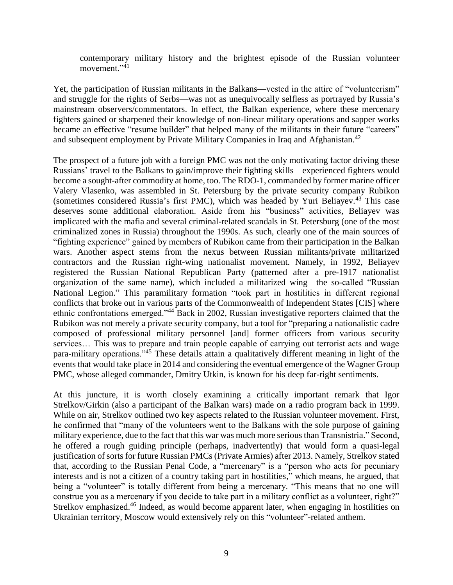contemporary military history and the brightest episode of the Russian volunteer movement."<sup>41</sup>

Yet, the participation of Russian militants in the Balkans—vested in the attire of "volunteerism" and struggle for the rights of Serbs—was not as unequivocally selfless as portrayed by Russia's mainstream observers/commentators. In effect, the Balkan experience, where these mercenary fighters gained or sharpened their knowledge of non-linear military operations and sapper works became an effective "resume builder" that helped many of the militants in their future "careers" and subsequent employment by Private Military Companies in Iraq and Afghanistan.<sup>42</sup>

The prospect of a future job with a foreign PMC was not the only motivating factor driving these Russians' travel to the Balkans to gain/improve their fighting skills—experienced fighters would become a sought-after commodity at home, too. The RDO-1, commanded by former marine officer Valery Vlasenko, was assembled in St. Petersburg by the private security company Rubikon (sometimes considered Russia's first PMC), which was headed by Yuri Beliayev.<sup>43</sup> This case deserves some additional elaboration. Aside from his "business" activities, Beliayev was implicated with the mafia and several criminal-related scandals in St. Petersburg (one of the most criminalized zones in Russia) throughout the 1990s. As such, clearly one of the main sources of "fighting experience" gained by members of Rubikon came from their participation in the Balkan wars. Another aspect stems from the nexus between Russian militants/private militarized contractors and the Russian right-wing nationalist movement. Namely, in 1992, Beliayev registered the Russian National Republican Party (patterned after a pre-1917 nationalist organization of the same name), which included a militarized wing—the so-called "Russian National Legion." This paramilitary formation "took part in hostilities in different regional conflicts that broke out in various parts of the Commonwealth of Independent States [CIS] where ethnic confrontations emerged."<sup>44</sup> Back in 2002, Russian investigative reporters claimed that the Rubikon was not merely a private security company, but a tool for "preparing a nationalistic cadre composed of professional military personnel [and] former officers from various security services… This was to prepare and train people capable of carrying out terrorist acts and wage para-military operations."<sup>45</sup> These details attain a qualitatively different meaning in light of the events that would take place in 2014 and considering the eventual emergence of the Wagner Group PMC, whose alleged commander, Dmitry Utkin, is known for his deep far-right sentiments.

At this juncture, it is worth closely examining a critically important remark that Igor Strelkov/Girkin (also a participant of the Balkan wars) made on a radio program back in 1999. While on air, Strelkov outlined two key aspects related to the Russian volunteer movement. First, he confirmed that "many of the volunteers went to the Balkans with the sole purpose of gaining military experience, due to the fact that this war was much more serious than Transnistria." Second, he offered a rough guiding principle (perhaps, inadvertently) that would form a quasi-legal justification of sorts for future Russian PMCs (Private Armies) after 2013. Namely, Strelkov stated that, according to the Russian Penal Code, a "mercenary" is a "person who acts for pecuniary interests and is not a citizen of a country taking part in hostilities," which means, he argued, that being a "volunteer" is totally different from being a mercenary. "This means that no one will construe you as a mercenary if you decide to take part in a military conflict as a volunteer, right?" Strelkov emphasized.<sup>46</sup> Indeed, as would become apparent later, when engaging in hostilities on Ukrainian territory, Moscow would extensively rely on this "volunteer"-related anthem.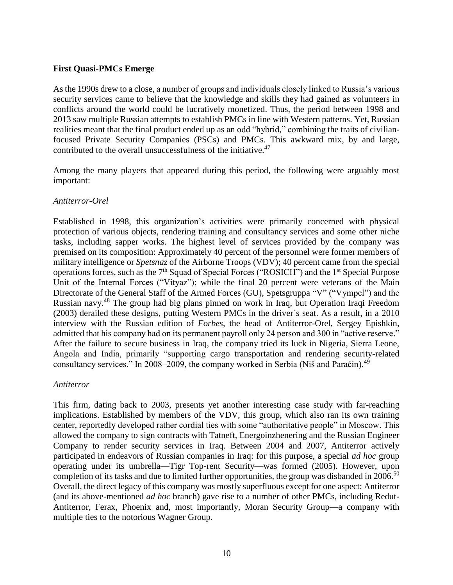#### **First Quasi-PMCs Emerge**

As the 1990s drew to a close, a number of groups and individuals closely linked to Russia's various security services came to believe that the knowledge and skills they had gained as volunteers in conflicts around the world could be lucratively monetized. Thus, the period between 1998 and 2013 saw multiple Russian attempts to establish PMCs in line with Western patterns. Yet, Russian realities meant that the final product ended up as an odd "hybrid," combining the traits of civilianfocused Private Security Companies (PSCs) and PMCs. This awkward mix, by and large, contributed to the overall unsuccessfulness of the initiative.<sup>47</sup>

Among the many players that appeared during this period, the following were arguably most important:

#### *Antiterror-Orel*

Established in 1998, this organization's activities were primarily concerned with physical protection of various objects, rendering training and consultancy services and some other niche tasks, including sapper works. The highest level of services provided by the company was premised on its composition: Approximately 40 percent of the personnel were former members of military intelligence or *Spetsnaz* of the Airborne Troops (VDV); 40 percent came from the special operations forces, such as the  $7<sup>th</sup>$  Squad of Special Forces ("ROSICH") and the  $1<sup>st</sup>$  Special Purpose Unit of the Internal Forces ("Vityaz"); while the final 20 percent were veterans of the Main Directorate of the General Staff of the Armed Forces (GU), Spetsgruppa "V" ("Vympel") and the Russian navy.<sup>48</sup> The group had big plans pinned on work in Iraq, but Operation Iraqi Freedom (2003) derailed these designs, putting Western PMCs in the driver`s seat. As a result, in a 2010 interview with the Russian edition of *Forbes*, the head of Antiterror-Orel, Sergey Epishkin, admitted that his company had on its permanent payroll only 24 person and 300 in "active reserve." After the failure to secure business in Iraq, the company tried its luck in Nigeria, Sierra Leone, Angola and India, primarily "supporting cargo transportation and rendering security-related consultancy services." In 2008–2009, the company worked in Serbia (Niš and Paraćin).<sup>49</sup>

#### *Antiterror*

This firm, dating back to 2003, presents yet another interesting case study with far-reaching implications. Established by members of the VDV, this group, which also ran its own training center, reportedly developed rather cordial ties with some "authoritative people" in Moscow. This allowed the company to sign contracts with Tatneft, Energoinzhenering and the Russian Engineer Company to render security services in Iraq. Between 2004 and 2007, Antiterror actively participated in endeavors of Russian companies in Iraq: for this purpose, a special *ad hoc* group operating under its umbrella—Tigr Top-rent Security—was formed (2005). However, upon completion of its tasks and due to limited further opportunities, the group was disbanded in 2006.<sup>50</sup> Overall, the direct legacy of this company was mostly superfluous except for one aspect: Antiterror (and its above-mentioned *ad hoc* branch) gave rise to a number of other PMCs, including Redut-Antiterror, Ferax, Phoenix and, most importantly, Moran Security Group—a company with multiple ties to the notorious Wagner Group.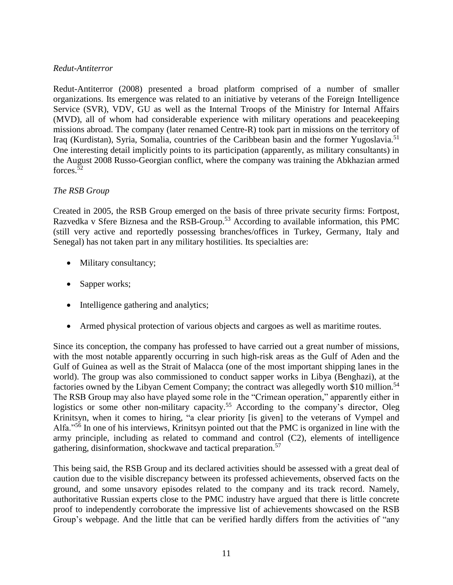#### *Redut-Antiterror*

Redut-Antiterror (2008) presented a broad platform comprised of a number of smaller organizations. Its emergence was related to an initiative by veterans of the Foreign Intelligence Service (SVR), VDV, GU as well as the Internal Troops of the Ministry for Internal Affairs (MVD), all of whom had considerable experience with military operations and peacekeeping missions abroad. The company (later renamed Centre-R) took part in missions on the territory of Iraq (Kurdistan), Syria, Somalia, countries of the Caribbean basin and the former Yugoslavia.<sup>51</sup> One interesting detail implicitly points to its participation (apparently, as military consultants) in the August 2008 Russo-Georgian conflict, where the company was training the Abkhazian armed forces.<sup>52</sup>

## *The RSB Group*

Created in 2005, the RSB Group emerged on the basis of three private security firms: Fortpost, Razvedka v Sfere Biznesa and the RSB-Group.<sup>53</sup> According to available information, this PMC (still very active and reportedly possessing branches/offices in Turkey, Germany, Italy and Senegal) has not taken part in any military hostilities. Its specialties are:

- Military consultancy;
- Sapper works;
- Intelligence gathering and analytics;
- Armed physical protection of various objects and cargoes as well as maritime routes.

Since its conception, the company has professed to have carried out a great number of missions, with the most notable apparently occurring in such high-risk areas as the Gulf of Aden and the Gulf of Guinea as well as the Strait of Malacca (one of the most important shipping lanes in the world). The group was also commissioned to conduct sapper works in Libya (Benghazi), at the factories owned by the Libyan Cement Company; the contract was allegedly worth \$10 million.<sup>54</sup> The RSB Group may also have played some role in the "Crimean operation," apparently either in logistics or some other non-military capacity.<sup>55</sup> According to the company's director, Oleg Krinitsyn, when it comes to hiring, "a clear priority [is given] to the veterans of Vympel and Alfa."<sup>56</sup> In one of his interviews, Krinitsyn pointed out that the PMC is organized in line with the army principle, including as related to command and control (C2), elements of intelligence gathering, disinformation, shockwave and tactical preparation.<sup>57</sup>

This being said, the RSB Group and its declared activities should be assessed with a great deal of caution due to the visible discrepancy between its professed achievements, observed facts on the ground, and some unsavory episodes related to the company and its track record. Namely, authoritative Russian experts close to the PMC industry have argued that there is little concrete proof to independently corroborate the impressive list of achievements showcased on the RSB Group's webpage. And the little that can be verified hardly differs from the activities of "any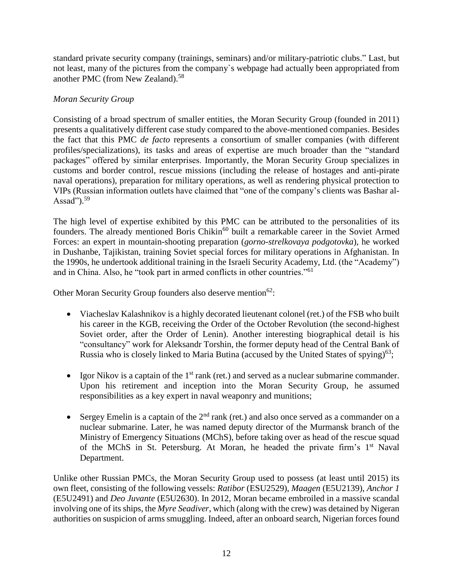standard private security company (trainings, seminars) and/or military-patriotic clubs." Last, but not least, many of the pictures from the company`s webpage had actually been appropriated from another PMC (from New Zealand).<sup>58</sup>

## *Moran Security Group*

Consisting of a broad spectrum of smaller entities, the Moran Security Group (founded in 2011) presents a qualitatively different case study compared to the above-mentioned companies. Besides the fact that this PMC *de facto* represents a consortium of smaller companies (with different profiles/specializations), its tasks and areas of expertise are much broader than the "standard packages" offered by similar enterprises. Importantly, the Moran Security Group specializes in customs and border control, rescue missions (including the release of hostages and anti-pirate naval operations), preparation for military operations, as well as rendering physical protection to VIPs (Russian information outlets have claimed that "one of the company's clients was Bashar al-Assad"). $59$ 

The high level of expertise exhibited by this PMC can be attributed to the personalities of its founders. The already mentioned Boris Chikin<sup>60</sup> built a remarkable career in the Soviet Armed Forces: an expert in mountain-shooting preparation (*gorno-strelkovaya podgotovka*), he worked in Dushanbe, Tajikistan, training Soviet special forces for military operations in Afghanistan. In the 1990s, he undertook additional training in the Israeli Security Academy, Ltd. (the "Academy") and in China. Also, he "took part in armed conflicts in other countries."<sup>61</sup>

Other Moran Security Group founders also deserve mention<sup>62</sup>:

- Viacheslav Kalashnikov is a highly decorated lieutenant colonel (ret.) of the FSB who built his career in the KGB, receiving the Order of the October Revolution (the second-highest Soviet order, after the Order of Lenin). Another interesting biographical detail is his "consultancy" work for Aleksandr Torshin, the former deputy head of the Central Bank of Russia who is closely linked to Maria Butina (accused by the United States of spying)<sup>63</sup>;
- Igor Nikov is a captain of the  $1<sup>st</sup>$  rank (ret.) and served as a nuclear submarine commander. Upon his retirement and inception into the Moran Security Group, he assumed responsibilities as a key expert in naval weaponry and munitions;
- Sergey Emelin is a captain of the  $2<sup>nd</sup>$  rank (ret.) and also once served as a commander on a nuclear submarine. Later, he was named deputy director of the Murmansk branch of the Ministry of Emergency Situations (MChS), before taking over as head of the rescue squad of the MChS in St. Petersburg. At Moran, he headed the private firm's 1<sup>st</sup> Naval Department.

Unlike other Russian PMCs, the Moran Security Group used to possess (at least until 2015) its own fleet, consisting of the following vessels: *Ratibor* (ESU2529), *Maagen* (E5U2139), *Anchor 1* (E5U2491) and *Deo Juvante* (E5U2630). In 2012, Moran became embroiled in a massive scandal involving one of its ships, the *Myre Seadiver*, which (along with the crew) was detained by Nigeran authorities on suspicion of arms smuggling. Indeed, after an onboard search, Nigerian forces found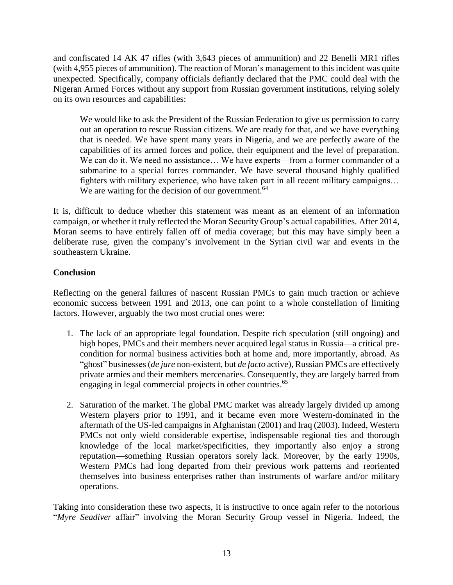and confiscated 14 AK 47 rifles (with 3,643 pieces of ammunition) and 22 Benelli MR1 rifles (with 4,955 pieces of ammunition). The reaction of Moran's management to this incident was quite unexpected. Specifically, company officials defiantly declared that the PMC could deal with the Nigeran Armed Forces without any support from Russian government institutions, relying solely on its own resources and capabilities:

We would like to ask the President of the Russian Federation to give us permission to carry out an operation to rescue Russian citizens. We are ready for that, and we have everything that is needed. We have spent many years in Nigeria, and we are perfectly aware of the capabilities of its armed forces and police, their equipment and the level of preparation. We can do it. We need no assistance... We have experts—from a former commander of a submarine to a special forces commander. We have several thousand highly qualified fighters with military experience, who have taken part in all recent military campaigns… We are waiting for the decision of our government. $64$ 

It is, difficult to deduce whether this statement was meant as an element of an information campaign, or whether it truly reflected the Moran Security Group's actual capabilities. After 2014, Moran seems to have entirely fallen off of media coverage; but this may have simply been a deliberate ruse, given the company's involvement in the Syrian civil war and events in the southeastern Ukraine.

## **Conclusion**

Reflecting on the general failures of nascent Russian PMCs to gain much traction or achieve economic success between 1991 and 2013, one can point to a whole constellation of limiting factors. However, arguably the two most crucial ones were:

- 1. The lack of an appropriate legal foundation. Despite rich speculation (still ongoing) and high hopes, PMCs and their members never acquired legal status in Russia—a critical precondition for normal business activities both at home and, more importantly, abroad. As "ghost" businesses(*de jure* non-existent, but *de facto* active), Russian PMCs are effectively private armies and their members mercenaries. Consequently, they are largely barred from engaging in legal commercial projects in other countries.<sup>65</sup>
- 2. Saturation of the market. The global PMC market was already largely divided up among Western players prior to 1991, and it became even more Western-dominated in the aftermath of the US-led campaigns in Afghanistan (2001) and Iraq (2003). Indeed, Western PMCs not only wield considerable expertise, indispensable regional ties and thorough knowledge of the local market/specificities, they importantly also enjoy a strong reputation—something Russian operators sorely lack. Moreover, by the early 1990s, Western PMCs had long departed from their previous work patterns and reoriented themselves into business enterprises rather than instruments of warfare and/or military operations.

Taking into consideration these two aspects, it is instructive to once again refer to the notorious "*Myre Seadiver* affair" involving the Moran Security Group vessel in Nigeria. Indeed, the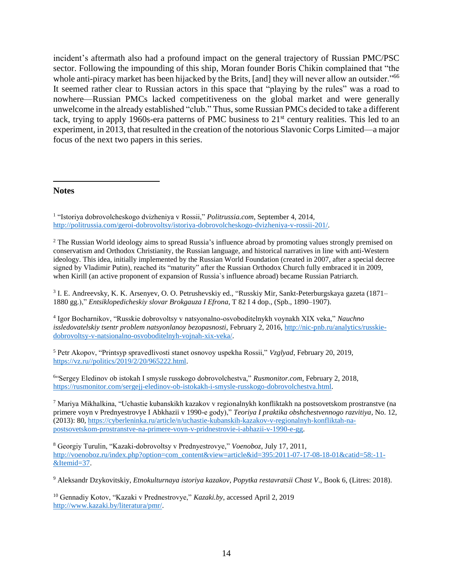incident's aftermath also had a profound impact on the general trajectory of Russian PMC/PSC sector. Following the impounding of this ship, Moran founder Boris Chikin complained that "the whole anti-piracy market has been hijacked by the Brits, [and] they will never allow an outsider."<sup>66</sup> It seemed rather clear to Russian actors in this space that "playing by the rules" was a road to nowhere—Russian PMCs lacked competitiveness on the global market and were generally unwelcome in the already established "club." Thus, some Russian PMCs decided to take a different tack, trying to apply 1960s-era patterns of PMC business to  $21<sup>st</sup>$  century realities. This led to an experiment, in 2013, that resulted in the creation of the notorious Slavonic Corps Limited—a major focus of the next two papers in this series.

#### **Notes**

 $\overline{\phantom{a}}$ 

3 I. E. Andreevsky, K. K. Arsenyev, O. O. Petrushevskiy ed., "Russkiy Mir, Sankt-Peterburgskaya gazeta (1871– 1880 gg.)," *Entsiklopedicheskiy slovar Brokgauza I Efrona*, T 82 I 4 dop., (Spb., 1890–1907).

4 Igor Bocharnikov, "Russkie dobrovoltsy v natsyonalno-osvoboditelnykh voynakh XIX veka," *Nauchno issledovatelskiy tsentr problem natsyonlanoy bezopasnosti*, February 2, 2016, [http://nic-pnb.ru/analytics/russkie](http://nic-pnb.ru/analytics/russkie-dobrovoltsy-v-natsionalno-osvoboditelnyh-vojnah-xix-veka/)[dobrovoltsy-v-natsionalno-osvoboditelnyh-vojnah-xix-veka/.](http://nic-pnb.ru/analytics/russkie-dobrovoltsy-v-natsionalno-osvoboditelnyh-vojnah-xix-veka/)

<sup>5</sup> Petr Akopov, "Printsyp spravedlivosti stanet osnovoy uspekha Rossii," *Vzglyad*, February 20, 2019, [https://vz.ru//politics/2019/2/20/965222.html.](https://vz.ru/politics/2019/2/20/965222.html)

6 "Sergey Eledinov ob istokah I smysle russkogo dobrovolchestva," *Rusmonitor.com*, February 2, 2018, [https://rusmonitor.com/sergejj-eledinov-ob-istokakh-i-smysle-russkogo-dobrovolchestva.html.](https://rusmonitor.com/sergejj-eledinov-ob-istokakh-i-smysle-russkogo-dobrovolchestva.html)

<sup>7</sup> Mariya Mikhalkina, "Uchastie kubanskikh kazakov v regionalnykh konfliktakh na postsovetskom prostranstve (na primere voyn v Prednyestrovye I Abkhazii v 1990-e gody)," *Teoriya I praktika obshchestvennogo razvitiya*, No. 12, (2013): 80, [https://cyberleninka.ru/article/n/uchastie-kubanskih-kazakov-v-regionalnyh-konfliktah-na](https://cyberleninka.ru/article/n/uchastie-kubanskih-kazakov-v-regionalnyh-konfliktah-na-postsovetskom-prostranstve-na-primere-voyn-v-pridnestrovie-i-abhazii-v-1990-e-gg)[postsovetskom-prostranstve-na-primere-voyn-v-pridnestrovie-i-abhazii-v-1990-e-gg.](https://cyberleninka.ru/article/n/uchastie-kubanskih-kazakov-v-regionalnyh-konfliktah-na-postsovetskom-prostranstve-na-primere-voyn-v-pridnestrovie-i-abhazii-v-1990-e-gg)

<sup>8</sup> Georgiy Turulin, "Kazaki-dobrovoltsy v Prednyestrovye," *Voenoboz*, July 17, 2011, [http://voenoboz.ru/index.php?option=com\\_content&view=article&id=395:2011-07-17-08-18-01&catid=58:-11-](http://voenoboz.ru/index.php?option=com_content&view=article&id=395:2011-07-17-08-18-01&catid=58:-11-&Itemid=37) [&Itemid=37.](http://voenoboz.ru/index.php?option=com_content&view=article&id=395:2011-07-17-08-18-01&catid=58:-11-&Itemid=37)

<sup>9</sup> Aleksandr Dzykovitskiy, *Etnokulturnaya istoriya kazakov*, *Popytka restavratsii Chast V*., Book 6, (Litres: 2018).

<sup>10</sup> Gennadiy Kotov, "Kazaki v Prednestrovye," *Kazaki.by*, accessed April 2, 2019 [http://www.kazaki.by/literatura/pmr/.](http://www.kazaki.by/literatura/pmr/)

<sup>1</sup> "Istoriya dobrovolcheskogo dvizheniya v Rossii," *Politrussia.com*, September 4, 2014, [http://politrussia.com/geroi-dobrovoltsy/istoriya-dobrovolcheskogo-dvizheniya-v-rossii-201/.](http://politrussia.com/geroi-dobrovoltsy/istoriya-dobrovolcheskogo-dvizheniya-v-rossii-201/)

<sup>&</sup>lt;sup>2</sup> The Russian World ideology aims to spread Russia's influence abroad by promoting values strongly premised on conservatism and Orthodox Christianity, the Russian language, and historical narratives in line with anti-Western ideology. This idea, initially implemented by the Russian World Foundation (created in 2007, after a special decree signed by Vladimir Putin), reached its "maturity" after the Russian Orthodox Church fully embraced it in 2009, when Kirill (an active proponent of expansion of Russia`s influence abroad) became Russian Patriarch.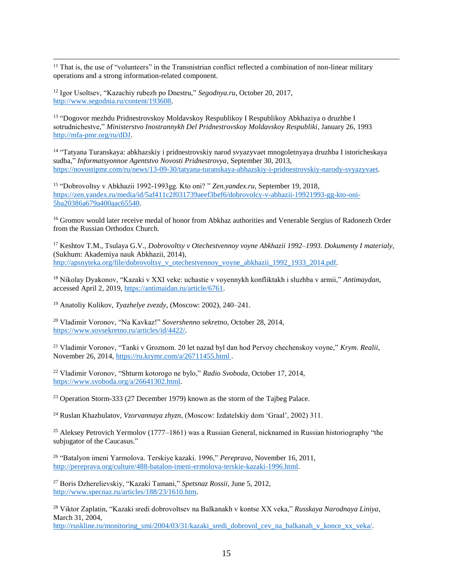$\overline{\phantom{a}}$ <sup>11</sup> That is, the use of "volunteers" in the Transnistrian conflict reflected a combination of non-linear military operations and a strong information-related component.

<sup>12</sup> Igor Usoltsev, "Kazachiy rubezh po Dnestru," *Segodnya.ru*, October 20, 2017, [http://www.segodnia.ru/content/193608.](http://www.segodnia.ru/content/193608)

<sup>13</sup> "Dogovor mezhdu Pridnestrovskoy Moldavskoy Respublikoy I Respublikoy Abkhaziya o druzhbe I sotrudnichestve," *Ministerstvo Inostrannykh Del Pridnestrovskoy Moldavskoy Respubliki*, January 26, 1993 [http://mfa-pmr.org/ru/dDJ.](http://mfa-pmr.org/ru/dDJ)

14 "Tatyana Turanskaya: abkhazskiy i pridnestrovskiy narod svyazyvaet mnogoletnyaya druzhba I istoricheskaya sudba," *Informatsyonnoe Agentstvo Novosti Pridnestrovya*, September 30, 2013, [https://novostipmr.com/ru/news/13-09-30/tatyana-turanskaya-abhazskiy-i-pridnestrovskiy-narody-svyazyvaet.](https://novostipmr.com/ru/news/13-09-30/tatyana-turanskaya-abhazskiy-i-pridnestrovskiy-narody-svyazyvaet)

<sup>15</sup> "Dobrovoltsy v Abkhazii 1992-1993gg. Kto oni? " *Zen.yandex.ru*, September 19, 2018, [https://zen.yandex.ru/media/id/5af411c2f031739aeef3bef6/dobrovolcy-v-abhazii-19921993-gg-kto-oni-](https://zen.yandex.ru/media/id/5af411c2f031739aeef3bef6/dobrovolcy-v-abhazii-19921993-gg-kto-oni-5ba20386a679a400aac65540)[5ba20386a679a400aac65540.](https://zen.yandex.ru/media/id/5af411c2f031739aeef3bef6/dobrovolcy-v-abhazii-19921993-gg-kto-oni-5ba20386a679a400aac65540)

<sup>16</sup> Gromov would later receive medal of honor from Abkhaz authorities and Venerable Sergius of Radonezh Order from the Russian Orthodox Church.

<sup>17</sup> Keshtov T.M., Tsulaya G.V., *Dobrovoltsy v Otechestvennoy voyne Abkhazii 1992–1993. Dokumenty I materialy*, (Sukhum: Akademiya nauk Abkhazii, 2014), [http://apsnyteka.org/file/dobrovoltsy\\_v\\_otechestvennoy\\_voyne\\_abkhazii\\_1992\\_1933\\_2014.pdf.](http://apsnyteka.org/file/dobrovoltsy_v_otechestvennoy_voyne_abkhazii_1992_1933_2014.pdf)

<sup>18</sup> Nikolay Dyakonov, "Kazaki v XXI veke: uchastie v voyennykh konfliktakh i sluzhba v armii," *Antimaydan*, accessed April 2, 2019, [https://antimaidan.ru/article/6761.](https://antimaidan.ru/article/6761)

<sup>19</sup> Anatoliy Kulikov, *Tyazhelye zvezdy*, (Moscow: 2002), 240–241.

<sup>20</sup> Vladimir Voronov, "Na Kavkaz!" *Sovershenno sekretno*, October 28, 2014, [https://www.sovsekretno.ru/articles/id/4422/.](https://www.sovsekretno.ru/articles/id/4422/)

<sup>21</sup> Vladimir Voronov, "Tanki v Groznom. 20 let nazad byl dan hod Pervoy chechenskoy voyne," *Krym. Realii*, November 26, 2014, <https://ru.krymr.com/a/26711455.html> .

<sup>22</sup> Vladimir Voronov, "Shturm kotorogo ne bylo," *Radio Svoboda*, October 17, 2014, [https://www.svoboda.org/a/26641302.html.](https://www.svoboda.org/a/26641302.html)

<sup>23</sup> Operation Storm-333 (27 December 1979) known as the storm of the Tajbeg Palace.

<sup>24</sup> Ruslan Khazbulatov, *Vzorvannaya zhyzn*, (Moscow: Izdatelskiy dom 'Graal', 2002) 311.

<sup>25</sup> Aleksey Petrovich Yermolov (1777–1861) was a Russian General, nicknamed in Russian historiography "the subjugator of the Caucasus."

<sup>26</sup> "Batalyon imeni Yarmolova. Terskiye kazaki. 1996," *Pereprava*, November 16, 2011, [http://pereprava.org/culture/488-batalon-imeni-ermolova-terskie-kazaki-1996.html.](http://pereprava.org/culture/488-batalon-imeni-ermolova-terskie-kazaki-1996.html)

<sup>27</sup> Boris Dzherelievskiy, "Kazaki Tamani," *Spetsnaz Rossii*, June 5, 2012, [http://www.specnaz.ru/articles/188/23/1610.htm.](http://www.specnaz.ru/articles/188/23/1610.htm)

<sup>28</sup> Viktor Zaplatin, "Kazaki sredi dobrovoltsev na Balkanakh v kontse XX veka," *Russkaya Narodnaya Liniya*, March 31, 2004,

[http://ruskline.ru/monitoring\\_smi/2004/03/31/kazaki\\_sredi\\_dobrovol\\_cev\\_na\\_balkanah\\_v\\_konce\\_xx\\_veka/.](http://ruskline.ru/monitoring_smi/2004/03/31/kazaki_sredi_dobrovol_cev_na_balkanah_v_konce_xx_veka/)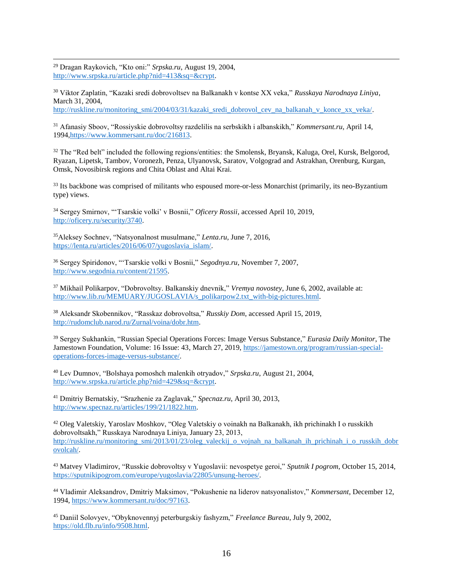$\overline{\phantom{a}}$ <sup>29</sup> Dragan Raykovich, "Kto oni:" *Srpska.ru*, August 19, 2004, [http://www.srpska.ru/article.php?nid=413&sq=&crypt.](http://www.srpska.ru/article.php?nid=413&sq=&crypt)

<sup>30</sup> Viktor Zaplatin, "Kazaki sredi dobrovoltsev na Balkanakh v kontse XX veka," *Russkaya Narodnaya Liniya*, March 31, 2004,

[http://ruskline.ru/monitoring\\_smi/2004/03/31/kazaki\\_sredi\\_dobrovol\\_cev\\_na\\_balkanah\\_v\\_konce\\_xx\\_veka/.](http://ruskline.ru/monitoring_smi/2004/03/31/kazaki_sredi_dobrovol_cev_na_balkanah_v_konce_xx_veka/) 

<sup>31</sup> Afanasiy Sboov, "Rossiyskie dobrovoltsy razdelilis na serbskikh i albanskikh," *Kommersant.ru*, April 14, 199[4,https://www.kommersant.ru/doc/216813.](https://www.kommersant.ru/doc/216813)

<sup>32</sup> The "Red belt" included the following regions/entities: the Smolensk, Bryansk, Kaluga, Orel, Kursk, Belgorod, Ryazan, Lipetsk, Tambov, Voronezh, Penza, Ulyanovsk, Saratov, Volgograd and Astrakhan, Orenburg, Kurgan, Omsk, Novosibirsk regions and Chita Oblast and Altai Krai.

<sup>33</sup> Its backbone was comprised of militants who espoused more-or-less Monarchist (primarily, its neo-Byzantium type) views.

<sup>34</sup> Sergey Smirnov, "'Tsarskie volki' v Bosnii," *Oficery Rossii*, accessed April 10, 2019, [http://oficery.ru/security/3740.](http://oficery.ru/security/3740)

<sup>35</sup>Aleksey Sochnev, "Natsyonalnost musulmane," *Lenta.ru*, June 7, 2016, [https://lenta.ru/articles/2016/06/07/yugoslavia\\_islam/.](https://lenta.ru/articles/2016/06/07/yugoslavia_islam/)

<sup>36</sup> Sergey Spiridonov, "'Tsarskie volki v Bosnii," *Segodnya.ru*, November 7, 2007, [http://www.segodnia.ru/content/21595.](http://www.segodnia.ru/content/21595)

<sup>37</sup> Mikhail Polikarpov, "Dobrovoltsy. Balkanskiy dnevnik," *Vremya novostey*, June 6, 2002, available at: [http://www.lib.ru/MEMUARY/JUGOSLAVIA/s\\_polikarpow2.txt\\_with-big-pictures.html.](http://www.lib.ru/MEMUARY/JUGOSLAVIA/s_polikarpow2.txt_with-big-pictures.html)

<sup>38</sup> Aleksandr Skobennikov, "Rasskaz dobrovoltsa," *Russkiy Dom*, accessed April 15, 2019, [http://rudomclub.narod.ru/Zurnal/voina/dobr.htm.](http://rudomclub.narod.ru/Zurnal/voina/dobr.htm)

<sup>39</sup> Sergey Sukhankin, "Russian Special Operations Forces: Image Versus Substance," *Eurasia Daily Monitor*, The Jamestown Foundation, Volume: 16 Issue: 43, March 27, 2019, [https://jamestown.org/program/russian-special](https://jamestown.org/program/russian-special-operations-forces-image-versus-substance/)[operations-forces-image-versus-substance/.](https://jamestown.org/program/russian-special-operations-forces-image-versus-substance/)

<sup>40</sup> Lev Dumnov, "Bolshaya pomoshch malenkih otryadov," *Srpska.ru*, August 21, 2004, [http://www.srpska.ru/article.php?nid=429&sq=&crypt.](http://www.srpska.ru/article.php?nid=429&sq=&crypt)

<sup>41</sup> Dmitriy Bernatskiy, "Srazhenie za Zaglavak," *Specnaz.ru*, April 30, 2013, [http://www.specnaz.ru/articles/199/21/1822.htm.](http://www.specnaz.ru/articles/199/21/1822.htm)

<sup>42</sup> Oleg Valetskiy, Yaroslav Moshkov, "Oleg Valetskiy o voinakh na Balkanakh, ikh prichinakh I o russkikh dobrovoltsakh," Russkaya Narodnaya Liniya, January 23, 2013, [http://ruskline.ru/monitoring\\_smi/2013/01/23/oleg\\_valeckij\\_o\\_vojnah\\_na\\_balkanah\\_ih\\_prichinah\\_i\\_o\\_russkih\\_dobr](http://ruskline.ru/monitoring_smi/2013/01/23/oleg_valeckij_o_vojnah_na_balkanah_ih_prichinah_i_o_russkih_dobrovolcah/) [ovolcah/.](http://ruskline.ru/monitoring_smi/2013/01/23/oleg_valeckij_o_vojnah_na_balkanah_ih_prichinah_i_o_russkih_dobrovolcah/)

<sup>43</sup> Matvey Vladimirov, "Russkie dobrovoltsy v Yugoslavii: nevospetye geroi," *Sputnik I pogrom*, October 15, 2014, [https://sputnikipogrom.com/europe/yugoslavia/22805/unsung-heroes/.](https://sputnikipogrom.com/europe/yugoslavia/22805/unsung-heroes/)

<sup>44</sup> Vladimir Aleksandrov, Dmitriy Maksimov, "Pokushenie na liderov natsyonalistov," *Kommersant*, December 12, 1994, [https://www.kommersant.ru/doc/97163.](https://www.kommersant.ru/doc/97163)

<sup>45</sup> Daniil Solovyev, "Obyknovennyj peterburgskiy fashyzm," *Freelance Bureau*, July 9, 2002, [https://old.flb.ru/info/9508.html.](https://old.flb.ru/info/9508.html)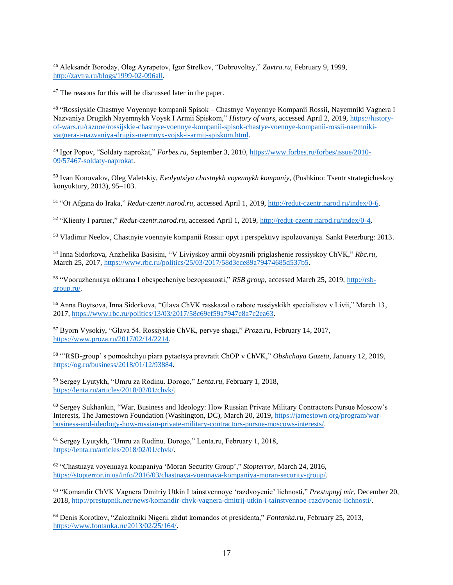$\overline{\phantom{a}}$ <sup>46</sup> Aleksandr Boroday, Oleg Ayrapetov, Igor Strelkov, "Dobrovoltsy," *Zavtra.ru*, February 9, 1999, [http://zavtra.ru/blogs/1999-02-096all.](http://zavtra.ru/blogs/1999-02-096all)

<sup>47</sup> The reasons for this will be discussed later in the paper.

48 "Rossiyskie Chastnye Voyennye kompanii Spisok – Chastnye Voyennye Kompanii Rossii, Nayemniki Vagnera I Nazvaniya Drugikh Nayemnykh Voysk I Armii Spiskom," *History of wars*, accessed April 2, 2019, [https://history](https://history-of-wars.ru/raznoe/rossijskie-chastnye-voennye-kompanii-spisok-chastye-voennye-kompanii-rossii-naemniki-vagnera-i-nazvaniya-drugix-naemnyx-vojsk-i-armij-spiskom.html)[of-wars.ru/raznoe/rossijskie-chastnye-voennye-kompanii-spisok-chastye-voennye-kompanii-rossii-naemniki](https://history-of-wars.ru/raznoe/rossijskie-chastnye-voennye-kompanii-spisok-chastye-voennye-kompanii-rossii-naemniki-vagnera-i-nazvaniya-drugix-naemnyx-vojsk-i-armij-spiskom.html)[vagnera-i-nazvaniya-drugix-naemnyx-vojsk-i-armij-spiskom.html.](https://history-of-wars.ru/raznoe/rossijskie-chastnye-voennye-kompanii-spisok-chastye-voennye-kompanii-rossii-naemniki-vagnera-i-nazvaniya-drugix-naemnyx-vojsk-i-armij-spiskom.html)

<sup>49</sup> Igor Popov, "Soldaty naprokat," *Forbes.ru*, September 3, 2010, [https://www.forbes.ru/forbes/issue/2010-](https://www.forbes.ru/forbes/issue/2010-09/57467-soldaty-naprokat) [09/57467-soldaty-naprokat.](https://www.forbes.ru/forbes/issue/2010-09/57467-soldaty-naprokat)

<sup>50</sup> Ivan Konovalov, Oleg Valetskiy, *Evolyutsiya chastnykh voyennykh kompaniy*, (Pushkino: Tsentr strategicheskoy konyuktury, 2013), 95–103.

<sup>51</sup> "Ot Afgana do Iraka," *Redut-czentr.narod.ru*, accessed April 1, 2019, [http://redut-czentr.narod.ru/index/0-6.](http://redut-czentr.narod.ru/index/0-6)

<sup>52</sup> "Klienty I partner," *Redut-czentr.narod.ru*, accessed April 1, 2019, [http://redut-czentr.narod.ru/index/0-4.](http://redut-czentr.narod.ru/index/0-4)

<sup>53</sup> Vladimir Neelov, Chastnyie voennyie kompanii Rossii: opyt i perspektivy ispolzovaniya. Sankt Peterburg: 2013.

<sup>54</sup> Inna Sidorkova, Anzhelika Basisini, "V Liviyskoy armii obyasnili priglashenie rossiyskoy ChVK," *Rbc.ru*, March 25, 2017[, https://www.rbc.ru/politics/25/03/2017/58d3ece89a79474685d537b5.](https://www.rbc.ru/politics/25/03/2017/58d3ece89a79474685d537b5)

<sup>55</sup> "Vooruzhennaya okhrana I obespecheniye bezopasnosti," *RSB group*, accessed March 25, 2019, [http://rsb](http://rsb-group.ru/)[group.ru/.](http://rsb-group.ru/)

<sup>56</sup> Anna Boytsova, Inna Sidorkova, "Glava ChVK rasskazal o rabote rossiyskikh specialistov v Livii," March 13, 2017, [https://www.rbc.ru/politics/13/03/2017/58c69ef59a7947e8a7c2ea63.](https://www.rbc.ru/politics/13/03/2017/58c69ef59a7947e8a7c2ea63)

<sup>57</sup> Byorn Vysokiy, "Glava 54. Rossiyskie ChVK, pervye shagi," *Proza.ru*, February 14, 2017, [https://www.proza.ru/2017/02/14/2214.](https://www.proza.ru/2017/02/14/2214)

<sup>58</sup> "'RSB-group' s pomoshchyu piara pytaetsya prevratit ChOP v ChVK," *Obshchaya Gazeta*, January 12, 2019, [https://og.ru/business/2018/01/12/93884.](https://og.ru/business/2018/01/12/93884)

<sup>59</sup> Sergey Lyutykh, "Umru za Rodinu. Dorogo," *Lenta.ru*, February 1, 2018, [https://lenta.ru/articles/2018/02/01/chvk/.](https://lenta.ru/articles/2018/02/01/chvk/)

<sup>60</sup> Sergey Sukhankin, "War, Business and Ideology: How Russian Private Military Contractors Pursue Moscow's Interests, The Jamestown Foundation (Washington, DC), March 20, 2019[, https://jamestown.org/program/war](https://jamestown.org/program/war-business-and-ideology-how-russian-private-military-contractors-pursue-moscows-interests/)[business-and-ideology-how-russian-private-military-contractors-pursue-moscows-interests/.](https://jamestown.org/program/war-business-and-ideology-how-russian-private-military-contractors-pursue-moscows-interests/)

<sup>61</sup> Sergey Lyutykh, "Umru za Rodinu. Dorogo," Lenta.ru, February 1, 2018, [https://lenta.ru/articles/2018/02/01/chvk/.](https://lenta.ru/articles/2018/02/01/chvk/)

<sup>62</sup> "Chastnaya voyennaya kompaniya 'Moran Security Group'," *Stopterror*, March 24, 2016, [https://stopterror.in.ua/info/2016/03/chastnaya-voennaya-kompaniya-moran-security-group/.](https://stopterror.in.ua/info/2016/03/chastnaya-voennaya-kompaniya-moran-security-group/)

<sup>63</sup> "Komandir ChVK Vagnera Dmitriy Utkin I tainstvennoye 'razdvoyenie' lichnosti," *Prestupnyj mir*, December 20, 2018, [http://prestupnik.net/news/komandir-chvk-vagnera-dmitrij-utkin-i-tainstvennoe-razdvoenie-lichnosti/.](http://prestupnik.net/news/komandir-chvk-vagnera-dmitrij-utkin-i-tainstvennoe-razdvoenie-lichnosti/)

<sup>64</sup> Denis Korotkov, "Zalozhniki Nigerii zhdut komandos ot presidenta," *Fontanka.ru*, February 25, 2013, [https://www.fontanka.ru/2013/02/25/164/.](https://www.fontanka.ru/2013/02/25/164/)